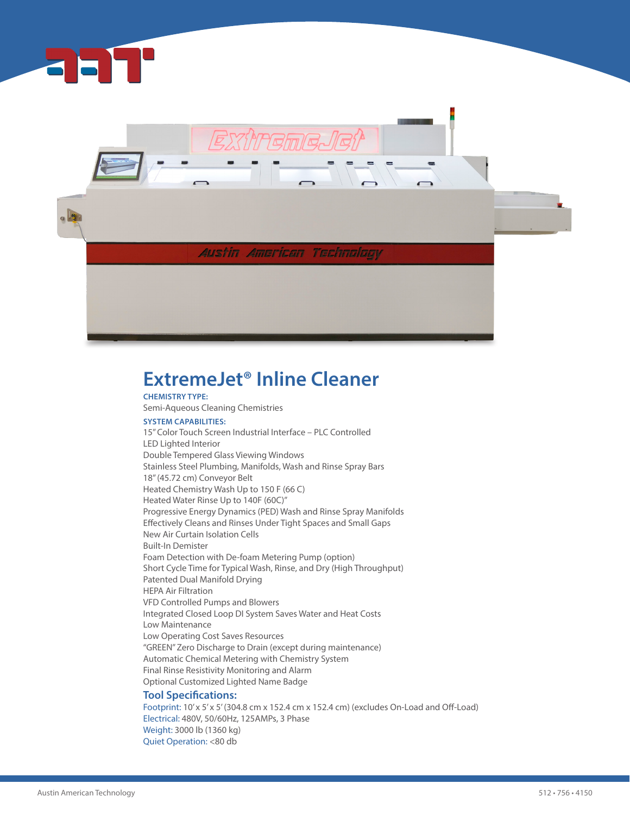

# **ExtremeJet® Inline Cleaner**

**CHEMISTRY TYPE:**

Semi-Aqueous Cleaning Chemistries

#### **SYSTEM CAPABILITIES:**

15" Color Touch Screen Industrial Interface – PLC Controlled LED Lighted Interior Double Tempered Glass Viewing Windows Stainless Steel Plumbing, Manifolds, Wash and Rinse Spray Bars 18" (45.72 cm) Conveyor Belt Heated Chemistry Wash Up to 150 F (66 C) Heated Water Rinse Up to 140F (60C)" Progressive Energy Dynamics (PED) Wash and Rinse Spray Manifolds Effectively Cleans and Rinses Under Tight Spaces and Small Gaps New Air Curtain Isolation Cells Built-In Demister Foam Detection with De-foam Metering Pump (option) Short Cycle Time for Typical Wash, Rinse, and Dry (High Throughput) Patented Dual Manifold Drying HEPA Air Filtration VFD Controlled Pumps and Blowers Integrated Closed Loop DI System Saves Water and Heat Costs Low Maintenance Low Operating Cost Saves Resources "GREEN" Zero Discharge to Drain (except during maintenance) Automatic Chemical Metering with Chemistry System Final Rinse Resistivity Monitoring and Alarm Optional Customized Lighted Name Badge

#### **Tool Specifications:**

Footprint: 10' x 5' x 5' (304.8 cm x 152.4 cm x 152.4 cm) (excludes On-Load and Off-Load) Electrical: 480V, 50/60Hz, 125AMPs, 3 Phase Weight: 3000 lb (1360 kg) Quiet Operation: <80 db